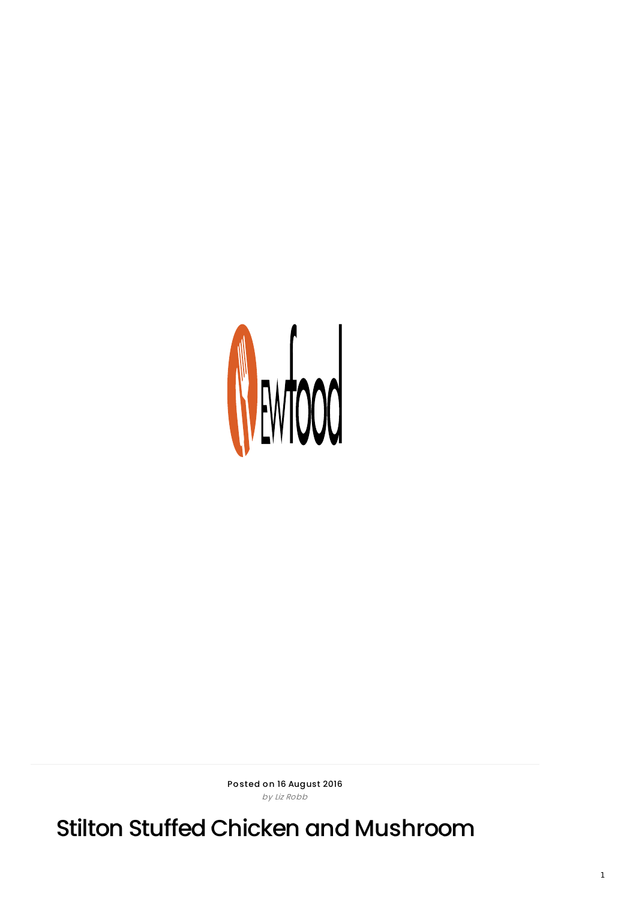

Posted on 16 August 2016 by Liz Robb

Stilton Stuffed Chicken and Mushroom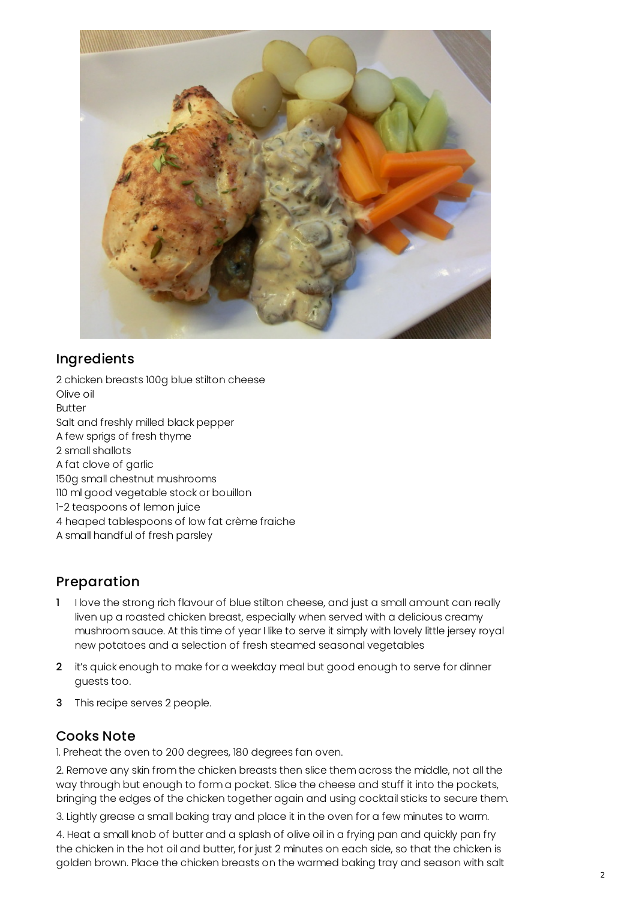

## Ingredients

2 chicken breasts 100g blue stilton cheese Olive oil Butter Salt and freshly milled black pepper A few sprigs of fresh thyme 2 small shallots A fat clove of garlic 150g small chestnut mushrooms 110 ml good vegetable stock or bouillon 1-2 teaspoons of lemon juice 4 heaped tablespoons of low fat crème fraiche A small handful of fresh parsley

## Preparation

- 1 I love the strong rich flavour of blue stilton cheese, and just a small amount can really liven up a roasted chicken breast, especially when served with a delicious creamy mushroom sauce. At this time of year I like to serve it simply with lovely little jersey royal new potatoes and a selection of fresh steamed seasonal vegetables
- 2 it's quick enough to make for a weekday meal but good enough to serve for dinner guests too.
- 3 This recipe serves 2 people.

## Cooks Note

1. Preheat the oven to 200 degrees, 180 degrees fan oven.

2. Remove any skin from the chicken breasts then slice them across the middle, not all the way through but enough to form a pocket. Slice the cheese and stuff it into the pockets, bringing the edges of the chicken together again and using cocktail sticks to secure them.

3. Lightly grease a small baking tray and place it in the oven for a few minutes to warm.

4. Heat a small knob of butter and a splash of olive oil in a frying pan and quickly pan fry the chicken in the hot oil and butter, for just 2 minutes on each side, so that the chicken is golden brown. Place the chicken breasts on the warmed baking tray and season with salt